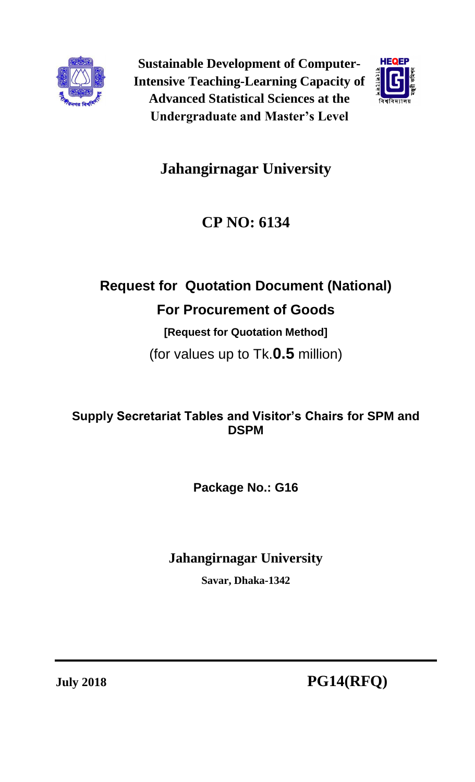

**Sustainable Development of Computer-Intensive Teaching-Learning Capacity of Advanced Statistical Sciences at the Undergraduate and Master's Level**



# **Jahangirnagar University**

# **CP NO: 6134**

# **Request for Quotation Document (National) For Procurement of Goods**

# **[Request for Quotation Method]**

(for values up to Tk.**0.5** million)

## **Supply Secretariat Tables and Visitor's Chairs for SPM and DSPM**

**Package No.: G16**

## **Jahangirnagar University**

**Savar, Dhaka-1342**

**July 2018 PG14(RFQ)**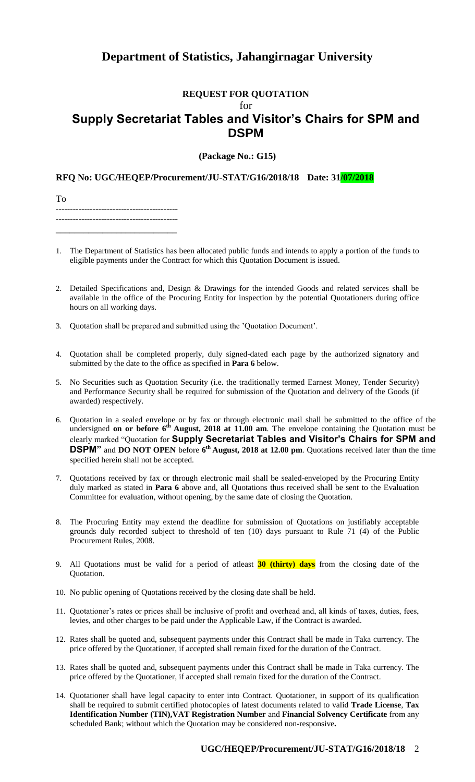## **Department of Statistics, Jahangirnagar University**

### **REQUEST FOR QUOTATION**  $f_{\Omega}r$ **Supply Secretariat Tables and Visitor's Chairs for SPM and DSPM**

**(Package No.: G15)**

**RFQ No: UGC/HEQEP/Procurement/JU-STAT/G16/2018/18 Date: 31/07/2018**

To ------------------------------------------- ------------------------------------------- \_\_\_\_\_\_\_\_\_\_\_\_\_\_\_\_\_\_\_\_\_\_\_\_\_\_

- 1. The Department of Statistics has been allocated public funds and intends to apply a portion of the funds to eligible payments under the Contract for which this Quotation Document is issued.
- 2. Detailed Specifications and, Design & Drawings for the intended Goods and related services shall be available in the office of the Procuring Entity for inspection by the potential Quotationers during office hours on all working days.
- 3. Quotation shall be prepared and submitted using the 'Quotation Document'.
- 4. Quotation shall be completed properly, duly signed-dated each page by the authorized signatory and submitted by the date to the office as specified in **Para 6** below.
- 5. No Securities such as Quotation Security (i.e. the traditionally termed Earnest Money, Tender Security) and Performance Security shall be required for submission of the Quotation and delivery of the Goods (if awarded) respectively.
- 6. Quotation in a sealed envelope or by fax or through electronic mail shall be submitted to the office of the undersigned **on or before 6<sup>th</sup> August, 2018 at 11.00 am.** The envelope containing the Quotation must be clearly marked "Quotation for **Supply Secretariat Tables and Visitor's Chairs for SPM and DSPM"** and **DO NOT OPEN** before **6 th August, 2018 at 12.00 pm**. Quotations received later than the time specified herein shall not be accepted.
- 7. Quotations received by fax or through electronic mail shall be sealed-enveloped by the Procuring Entity duly marked as stated in **Para 6** above and, all Quotations thus received shall be sent to the Evaluation Committee for evaluation, without opening, by the same date of closing the Quotation.
- 8. The Procuring Entity may extend the deadline for submission of Quotations on justifiably acceptable grounds duly recorded subject to threshold of ten (10) days pursuant to Rule 71 (4) of the Public Procurement Rules, 2008.
- 9. All Quotations must be valid for a period of atleast **30 (thirty) days** from the closing date of the Quotation.
- 10. No public opening of Quotations received by the closing date shall be held.
- 11. Quotationer's rates or prices shall be inclusive of profit and overhead and, all kinds of taxes, duties, fees, levies, and other charges to be paid under the Applicable Law, if the Contract is awarded.
- 12. Rates shall be quoted and, subsequent payments under this Contract shall be made in Taka currency. The price offered by the Quotationer, if accepted shall remain fixed for the duration of the Contract.
- 13. Rates shall be quoted and, subsequent payments under this Contract shall be made in Taka currency. The price offered by the Quotationer, if accepted shall remain fixed for the duration of the Contract.
- 14. Quotationer shall have legal capacity to enter into Contract. Quotationer, in support of its qualification shall be required to submit certified photocopies of latest documents related to valid **Trade License**, **Tax Identification Number (TIN),VAT Registration Number** and **Financial Solvency Certificate** from any scheduled Bank; without which the Quotation may be considered non-responsive**.**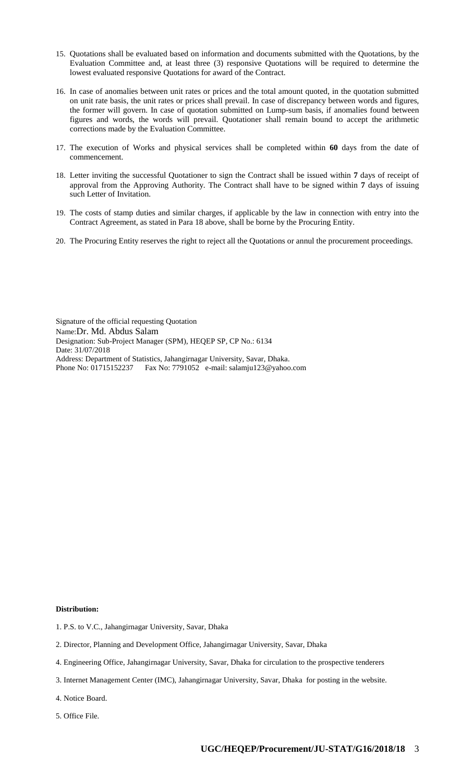- 15. Quotations shall be evaluated based on information and documents submitted with the Quotations, by the Evaluation Committee and, at least three (3) responsive Quotations will be required to determine the lowest evaluated responsive Quotations for award of the Contract.
- 16. In case of anomalies between unit rates or prices and the total amount quoted, in the quotation submitted on unit rate basis, the unit rates or prices shall prevail. In case of discrepancy between words and figures, the former will govern. In case of quotation submitted on Lump-sum basis, if anomalies found between figures and words, the words will prevail. Quotationer shall remain bound to accept the arithmetic corrections made by the Evaluation Committee.
- 17. The execution of Works and physical services shall be completed within **60** days from the date of commencement.
- 18. Letter inviting the successful Quotationer to sign the Contract shall be issued within **7** days of receipt of approval from the Approving Authority. The Contract shall have to be signed within **7** days of issuing such Letter of Invitation.
- 19. The costs of stamp duties and similar charges, if applicable by the law in connection with entry into the Contract Agreement, as stated in Para 18 above, shall be borne by the Procuring Entity.
- 20. The Procuring Entity reserves the right to reject all the Quotations or annul the procurement proceedings.

Signature of the official requesting Quotation Name:Dr. Md. Abdus Salam Designation: Sub-Project Manager (SPM), HEQEP SP, CP No.: 6134 Date: 31/07/2018 Address: Department of Statistics, Jahangirnagar University, Savar, Dhaka. Phone No: 01715152237 Fax No: 7791052 e-mail: salamju123@yahoo.com

#### **Distribution:**

- 1. P.S. to V.C., Jahangirnagar University, Savar, Dhaka
- 2. Director, Planning and Development Office, Jahangirnagar University, Savar, Dhaka
- 4. Engineering Office, Jahangirnagar University, Savar, Dhaka for circulation to the prospective tenderers
- 3. Internet Management Center (IMC), Jahangirnagar University, Savar, Dhaka for posting in the website.
- 4. Notice Board.
- 5. Office File.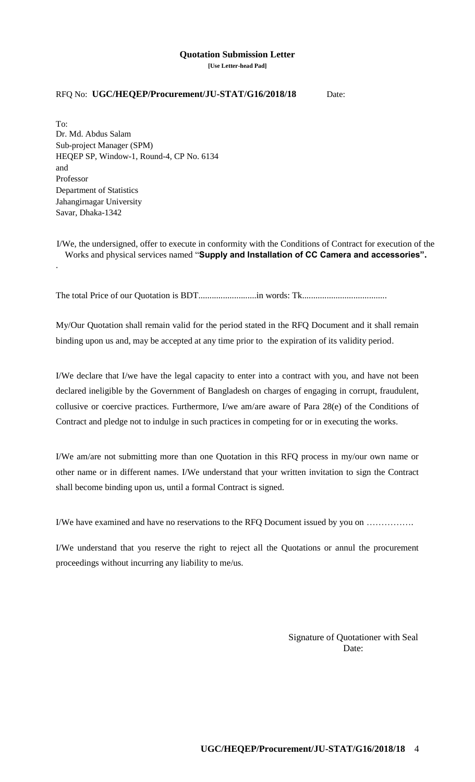## **Quotation Submission Letter**

**[Use Letter-head Pad]**

#### RFQ No: **UGC/HEQEP/Procurement/JU-STAT/G16/2018/18** Date:

To: Dr. Md. Abdus Salam Sub-project Manager (SPM) HEQEP SP, Window-1, Round-4, CP No. 6134 and Professor Department of Statistics Jahangirnagar University Savar, Dhaka-1342

.

I/We, the undersigned, offer to execute in conformity with the Conditions of Contract for execution of the Works and physical services named "**Supply and Installation of CC Camera and accessories".**

The total Price of our Quotation is BDT..........................in words: Tk......................................

My/Our Quotation shall remain valid for the period stated in the RFQ Document and it shall remain binding upon us and, may be accepted at any time prior to the expiration of its validity period.

I/We declare that I/we have the legal capacity to enter into a contract with you, and have not been declared ineligible by the Government of Bangladesh on charges of engaging in corrupt, fraudulent, collusive or coercive practices. Furthermore, I/we am/are aware of Para 28(e) of the Conditions of Contract and pledge not to indulge in such practices in competing for or in executing the works.

I/We am/are not submitting more than one Quotation in this RFQ process in my/our own name or other name or in different names. I/We understand that your written invitation to sign the Contract shall become binding upon us, until a formal Contract is signed.

I/We have examined and have no reservations to the RFQ Document issued by you on …………….

I/We understand that you reserve the right to reject all the Quotations or annul the procurement proceedings without incurring any liability to me/us.

> Signature of Quotationer with Seal Date: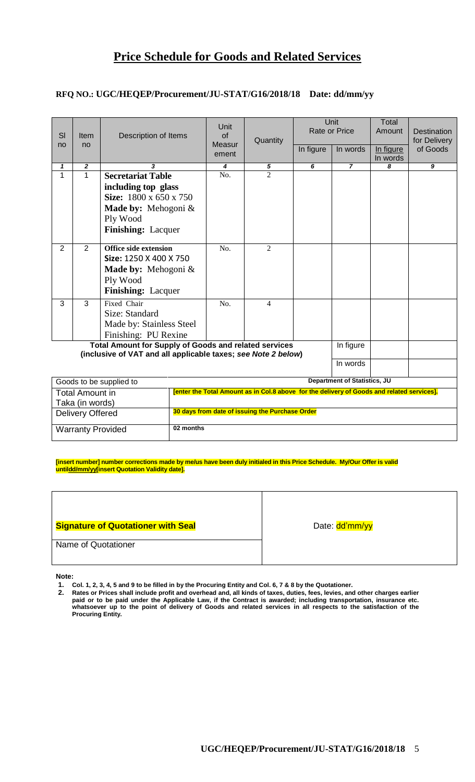### **RFQ NO.: UGC/HEQEP/Procurement/JU-STAT/G16/2018/18 Date: dd/mm/yy**

| SI<br>no                                                                                                                      | <b>Item</b><br>no | Description of Items               |                                                                                            | Unit<br>of<br>Measur<br>ement | Quantity       | In figure | Unit<br><b>Rate or Price</b><br>In words | Total<br>Amount<br>In figure<br>In words | <b>Destination</b><br>for Delivery<br>of Goods |
|-------------------------------------------------------------------------------------------------------------------------------|-------------------|------------------------------------|--------------------------------------------------------------------------------------------|-------------------------------|----------------|-----------|------------------------------------------|------------------------------------------|------------------------------------------------|
| 1                                                                                                                             | $\boldsymbol{2}$  | 3                                  |                                                                                            | $\overline{4}$                | 5              | 6         | $\overline{z}$                           | 8                                        | $\boldsymbol{9}$                               |
| $\mathbf{1}$                                                                                                                  | $\mathbf{1}$      | <b>Secretariat Table</b>           |                                                                                            | No.                           | $\mathfrak{D}$ |           |                                          |                                          |                                                |
|                                                                                                                               |                   | including top glass                |                                                                                            |                               |                |           |                                          |                                          |                                                |
|                                                                                                                               |                   | Size: $1800 \times 650 \times 750$ |                                                                                            |                               |                |           |                                          |                                          |                                                |
|                                                                                                                               |                   | <b>Made by:</b> Mehogoni $\&$      |                                                                                            |                               |                |           |                                          |                                          |                                                |
|                                                                                                                               |                   | Ply Wood                           |                                                                                            |                               |                |           |                                          |                                          |                                                |
|                                                                                                                               |                   | Finishing: Lacquer                 |                                                                                            |                               |                |           |                                          |                                          |                                                |
| $\overline{2}$                                                                                                                | $\overline{2}$    | <b>Office side extension</b>       |                                                                                            | No.                           | $\overline{2}$ |           |                                          |                                          |                                                |
|                                                                                                                               |                   | Size: 1250 X 400 X 750             |                                                                                            |                               |                |           |                                          |                                          |                                                |
|                                                                                                                               |                   | <b>Made by:</b> Mehogoni $\&$      |                                                                                            |                               |                |           |                                          |                                          |                                                |
|                                                                                                                               |                   | Ply Wood                           |                                                                                            |                               |                |           |                                          |                                          |                                                |
|                                                                                                                               |                   | <b>Finishing: Lacquer</b>          |                                                                                            |                               |                |           |                                          |                                          |                                                |
| 3                                                                                                                             | 3                 | Fixed Chair                        |                                                                                            | No.                           | $\overline{4}$ |           |                                          |                                          |                                                |
|                                                                                                                               |                   | Size: Standard                     |                                                                                            |                               |                |           |                                          |                                          |                                                |
|                                                                                                                               |                   | Made by: Stainless Steel           |                                                                                            |                               |                |           |                                          |                                          |                                                |
|                                                                                                                               |                   | Finishing: PU Rexine               |                                                                                            |                               |                |           |                                          |                                          |                                                |
| <b>Total Amount for Supply of Goods and related services</b><br>(inclusive of VAT and all applicable taxes; see Note 2 below) |                   |                                    |                                                                                            |                               |                | In figure |                                          |                                          |                                                |
|                                                                                                                               |                   |                                    |                                                                                            |                               |                |           | In words                                 |                                          |                                                |
| Goods to be supplied to                                                                                                       |                   |                                    |                                                                                            |                               |                |           | <b>Department of Statistics, JU</b>      |                                          |                                                |
| <b>Total Amount in</b>                                                                                                        |                   |                                    | [enter the Total Amount as in Col.8 above for the delivery of Goods and related services]. |                               |                |           |                                          |                                          |                                                |
| Taka (in words)                                                                                                               |                   |                                    |                                                                                            |                               |                |           |                                          |                                          |                                                |
| <b>Delivery Offered</b>                                                                                                       |                   |                                    | 30 days from date of issuing the Purchase Order                                            |                               |                |           |                                          |                                          |                                                |
| <b>Warranty Provided</b>                                                                                                      |                   |                                    | 02 months                                                                                  |                               |                |           |                                          |                                          |                                                |

**[insert number] number corrections made by me/us have been duly initialed in this Price Schedule. My/Our Offer is valid untildd/mm/yy[insert Quotation Validity date].**

| <b>Signature of Quotationer with Seal</b> | Date: dd'mm/yy |
|-------------------------------------------|----------------|
| Name of Quotationer                       |                |

**Note:**

- **1. Col. 1, 2, 3, 4, 5 and 9 to be filled in by the Procuring Entity and Col. 6, 7 & 8 by the Quotationer.**
- **2. Rates or Prices shall include profit and overhead and, all kinds of taxes, duties, fees, levies, and other charges earlier paid or to be paid under the Applicable Law, if the Contract is awarded; including transportation, insurance etc. whatsoever up to the point of delivery of Goods and related services in all respects to the satisfaction of the Procuring Entity.**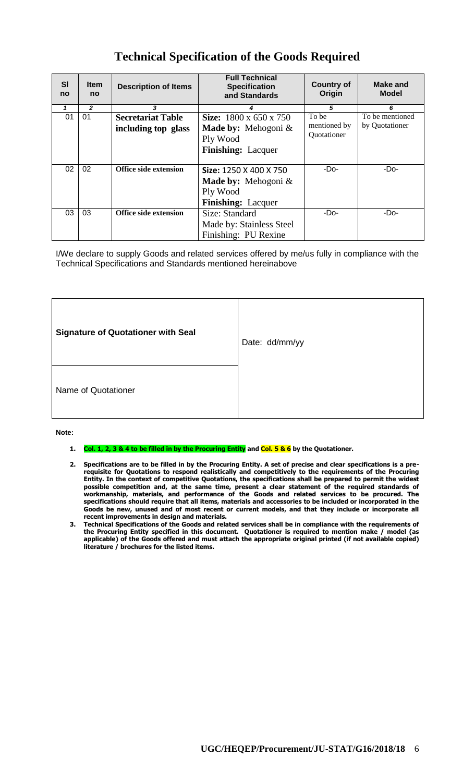| <b>SI</b><br>no | <b>Item</b><br>no | <b>Description of Items</b>  | <b>Full Technical</b><br><b>Specification</b><br>and Standards | <b>Country of</b><br>Origin | Make and<br><b>Model</b> |
|-----------------|-------------------|------------------------------|----------------------------------------------------------------|-----------------------------|--------------------------|
|                 | $\overline{2}$    | 3                            |                                                                | 5                           | 6                        |
| 01              | 01                | <b>Secretariat Table</b>     | <b>Size:</b> 1800 x 650 x 750                                  | To be                       | To be mentioned          |
|                 |                   | including top glass          | <b>Made by:</b> Mehogoni $\&$                                  | mentioned by                | by Quotationer           |
|                 |                   |                              | Ply Wood                                                       | Quotationer                 |                          |
|                 |                   |                              | <b>Finishing:</b> Lacquer                                      |                             |                          |
|                 |                   |                              |                                                                |                             |                          |
| 02              | 02                | Office side extension        | Size: 1250 X 400 X 750                                         | -Do-                        | -Do-                     |
|                 |                   |                              | <b>Made by:</b> Mehogoni $\&$                                  |                             |                          |
|                 |                   |                              | Ply Wood                                                       |                             |                          |
|                 |                   |                              | <b>Finishing:</b> Lacquer                                      |                             |                          |
| 03              | 03                | <b>Office side extension</b> | Size: Standard                                                 | -Do-                        | -Do-                     |
|                 |                   |                              | Made by: Stainless Steel                                       |                             |                          |
|                 |                   |                              | Finishing: PU Rexine                                           |                             |                          |

## **Technical Specification of the Goods Required**

I/We declare to supply Goods and related services offered by me/us fully in compliance with the Technical Specifications and Standards mentioned hereinabove

| <b>Signature of Quotationer with Seal</b> | Date: dd/mm/yy |
|-------------------------------------------|----------------|
| Name of Quotationer                       |                |

#### **Note:**

- **1. Col. 1, 2, 3 & 4 to be filled in by the Procuring Entity and Col. 5 & 6 by the Quotationer.**
- **2. Specifications are to be filled in by the Procuring Entity. A set of precise and clear specifications is a prerequisite for Quotations to respond realistically and competitively to the requirements of the Procuring Entity. In the context of competitive Quotations, the specifications shall be prepared to permit the widest possible competition and, at the same time, present a clear statement of the required standards of workmanship, materials, and performance of the Goods and related services to be procured. The specifications should require that all items, materials and accessories to be included or incorporated in the Goods be new, unused and of most recent or current models, and that they include or incorporate all recent improvements in design and materials.**
- **3. Technical Specifications of the Goods and related services shall be in compliance with the requirements of the Procuring Entity specified in this document. Quotationer is required to mention make / model (as applicable) of the Goods offered and must attach the appropriate original printed (if not available copied) literature / brochures for the listed items.**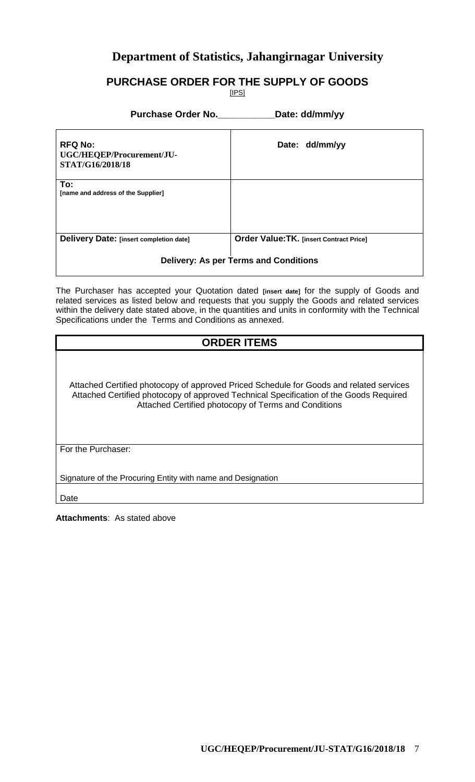## **Department of Statistics, Jahangirnagar University**

### **PURCHASE ORDER FOR THE SUPPLY OF GOODS**

[IPS]

#### **Purchase Order No.\_\_\_\_\_\_\_\_\_\_\_Date: dd/mm/yy**

| <b>RFQ No:</b><br>UGC/HEQEP/Procurement/JU-<br>STAT/G16/2018/18 | Date: dd/mm/yy                                  |  |
|-----------------------------------------------------------------|-------------------------------------------------|--|
| To:<br>[name and address of the Supplier]                       |                                                 |  |
| Delivery Date: [insert completion date]                         | <b>Order Value: TK. [insert Contract Price]</b> |  |
| <b>Delivery: As per Terms and Conditions</b>                    |                                                 |  |

The Purchaser has accepted your Quotation dated **[insert date]** for the supply of Goods and related services as listed below and requests that you supply the Goods and related services within the delivery date stated above, in the quantities and units in conformity with the Technical Specifications under the Terms and Conditions as annexed.

### **ORDER ITEMS**

Attached Certified photocopy of approved Priced Schedule for Goods and related services Attached Certified photocopy of approved Technical Specification of the Goods Required Attached Certified photocopy of Terms and Conditions

For the Purchaser:

Signature of the Procuring Entity with name and Designation

Date

**Attachments**: As stated above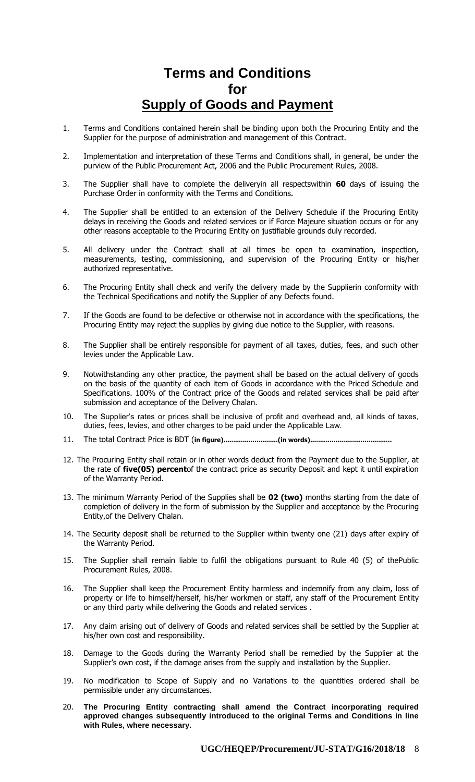## **Terms and Conditions for Supply of Goods and Payment**

- 1. Terms and Conditions contained herein shall be binding upon both the Procuring Entity and the Supplier for the purpose of administration and management of this Contract.
- 2. Implementation and interpretation of these Terms and Conditions shall, in general, be under the purview of the Public Procurement Act, 2006 and the Public Procurement Rules, 2008.
- 3. The Supplier shall have to complete the deliveryin all respectswithin **60** days of issuing the Purchase Order in conformity with the Terms and Conditions**.**
- 4. The Supplier shall be entitled to an extension of the Delivery Schedule if the Procuring Entity delays in receiving the Goods and related services or if Force Majeure situation occurs or for any other reasons acceptable to the Procuring Entity on justifiable grounds duly recorded.
- 5. All delivery under the Contract shall at all times be open to examination, inspection, measurements, testing, commissioning, and supervision of the Procuring Entity or his/her authorized representative.
- 6. The Procuring Entity shall check and verify the delivery made by the Supplierin conformity with the Technical Specifications and notify the Supplier of any Defects found.
- 7. If the Goods are found to be defective or otherwise not in accordance with the specifications, the Procuring Entity may reject the supplies by giving due notice to the Supplier, with reasons.
- 8. The Supplier shall be entirely responsible for payment of all taxes, duties, fees, and such other levies under the Applicable Law.
- 9. Notwithstanding any other practice, the payment shall be based on the actual delivery of goods on the basis of the quantity of each item of Goods in accordance with the Priced Schedule and Specifications. 100% of the Contract price of the Goods and related services shall be paid after submission and acceptance of the Delivery Chalan.
- 10. The Supplier's rates or prices shall be inclusive of profit and overhead and, all kinds of taxes, duties, fees, levies, and other charges to be paid under the Applicable Law.
- 11. The total Contract Price is BDT (**in figure)............................(in words)..........................................**
- 12. The Procuring Entity shall retain or in other words deduct from the Payment due to the Supplier, at the rate of **five(05) percent**of the contract price as security Deposit and kept it until expiration of the Warranty Period.
- 13. The minimum Warranty Period of the Supplies shall be **02 (two)** months starting from the date of completion of delivery in the form of submission by the Supplier and acceptance by the Procuring Entity,of the Delivery Chalan.
- 14. The Security deposit shall be returned to the Supplier within twenty one (21) days after expiry of the Warranty Period.
- 15. The Supplier shall remain liable to fulfil the obligations pursuant to Rule 40 (5) of thePublic Procurement Rules, 2008.
- 16. The Supplier shall keep the Procurement Entity harmless and indemnify from any claim, loss of property or life to himself/herself, his/her workmen or staff, any staff of the Procurement Entity or any third party while delivering the Goods and related services .
- 17. Any claim arising out of delivery of Goods and related services shall be settled by the Supplier at his/her own cost and responsibility.
- 18. Damage to the Goods during the Warranty Period shall be remedied by the Supplier at the Supplier's own cost, if the damage arises from the supply and installation by the Supplier.
- 19. No modification to Scope of Supply and no Variations to the quantities ordered shall be permissible under any circumstances.
- 20. **The Procuring Entity contracting shall amend the Contract incorporating required approved changes subsequently introduced to the original Terms and Conditions in line with Rules, where necessary.**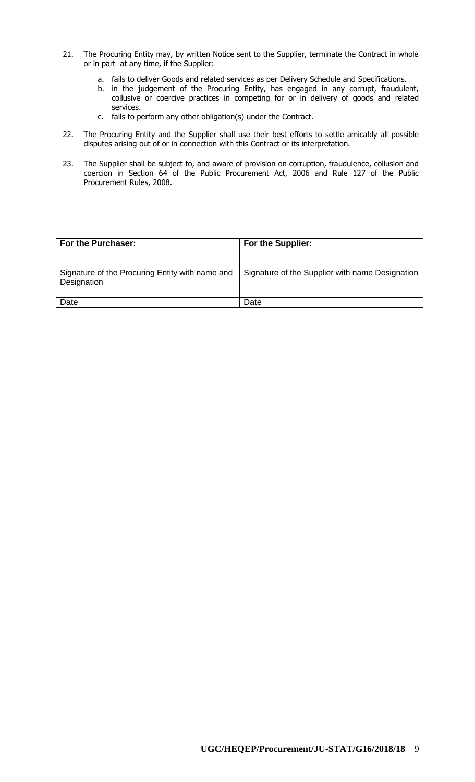- 21. The Procuring Entity may, by written Notice sent to the Supplier, terminate the Contract in whole or in part at any time, if the Supplier:
	- a. fails to deliver Goods and related services as per Delivery Schedule and Specifications.
	- b. in the judgement of the Procuring Entity, has engaged in any corrupt, fraudulent, collusive or coercive practices in competing for or in delivery of goods and related services.
	- c. fails to perform any other obligation(s) under the Contract.
- 22. The Procuring Entity and the Supplier shall use their best efforts to settle amicably all possible disputes arising out of or in connection with this Contract or its interpretation.
- 23. The Supplier shall be subject to, and aware of provision on corruption, fraudulence, collusion and coercion in Section 64 of the Public Procurement Act, 2006 and Rule 127 of the Public Procurement Rules, 2008.

| For the Purchaser:                                             | <b>For the Supplier:</b>                        |
|----------------------------------------------------------------|-------------------------------------------------|
| Signature of the Procuring Entity with name and<br>Designation | Signature of the Supplier with name Designation |
| Date                                                           | Date                                            |